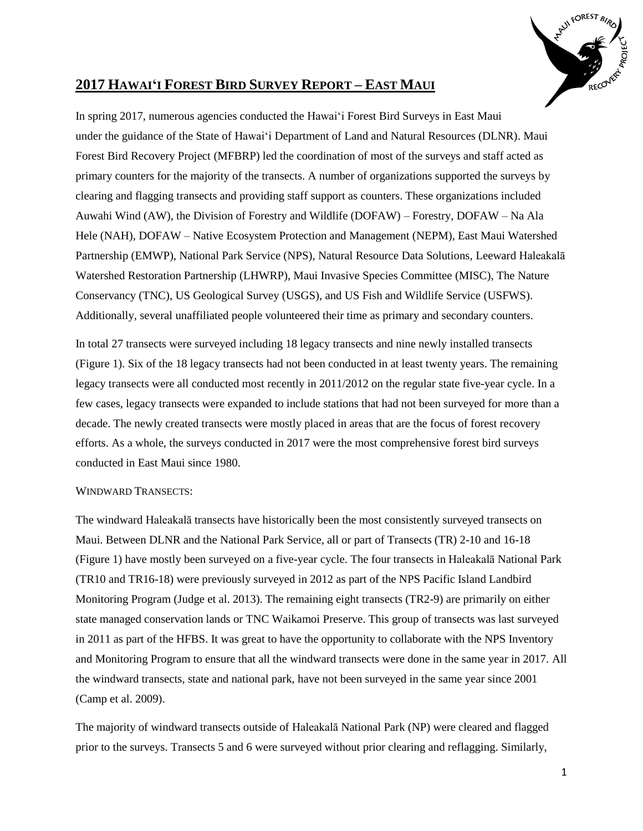

# **2017 HAWAI'I FOREST BIRD SURVEY REPORT – EAST MAUI**

In spring 2017, numerous agencies conducted the Hawai'i Forest Bird Surveys in East Maui under the guidance of the State of Hawai'i Department of Land and Natural Resources (DLNR). Maui Forest Bird Recovery Project (MFBRP) led the coordination of most of the surveys and staff acted as primary counters for the majority of the transects. A number of organizations supported the surveys by clearing and flagging transects and providing staff support as counters. These organizations included Auwahi Wind (AW), the Division of Forestry and Wildlife (DOFAW) – Forestry, DOFAW – Na Ala Hele (NAH), DOFAW – Native Ecosystem Protection and Management (NEPM), East Maui Watershed Partnership (EMWP), National Park Service (NPS), Natural Resource Data Solutions, Leeward Haleakalā Watershed Restoration Partnership (LHWRP), Maui Invasive Species Committee (MISC), The Nature Conservancy (TNC), US Geological Survey (USGS), and US Fish and Wildlife Service (USFWS). Additionally, several unaffiliated people volunteered their time as primary and secondary counters.

In total 27 transects were surveyed including 18 legacy transects and nine newly installed transects (Figure 1). Six of the 18 legacy transects had not been conducted in at least twenty years. The remaining legacy transects were all conducted most recently in 2011/2012 on the regular state five-year cycle. In a few cases, legacy transects were expanded to include stations that had not been surveyed for more than a decade. The newly created transects were mostly placed in areas that are the focus of forest recovery efforts. As a whole, the surveys conducted in 2017 were the most comprehensive forest bird surveys conducted in East Maui since 1980.

# WINDWARD TRANSECTS:

The windward Haleakalā transects have historically been the most consistently surveyed transects on Maui. Between DLNR and the National Park Service, all or part of Transects (TR) 2-10 and 16-18 (Figure 1) have mostly been surveyed on a five-year cycle. The four transects in Haleakalā National Park (TR10 and TR16-18) were previously surveyed in 2012 as part of the NPS Pacific Island Landbird Monitoring Program (Judge et al. 2013). The remaining eight transects (TR2-9) are primarily on either state managed conservation lands or TNC Waikamoi Preserve. This group of transects was last surveyed in 2011 as part of the HFBS. It was great to have the opportunity to collaborate with the NPS Inventory and Monitoring Program to ensure that all the windward transects were done in the same year in 2017. All the windward transects, state and national park, have not been surveyed in the same year since 2001 (Camp et al. 2009).

The majority of windward transects outside of Haleakalā National Park (NP) were cleared and flagged prior to the surveys. Transects 5 and 6 were surveyed without prior clearing and reflagging. Similarly,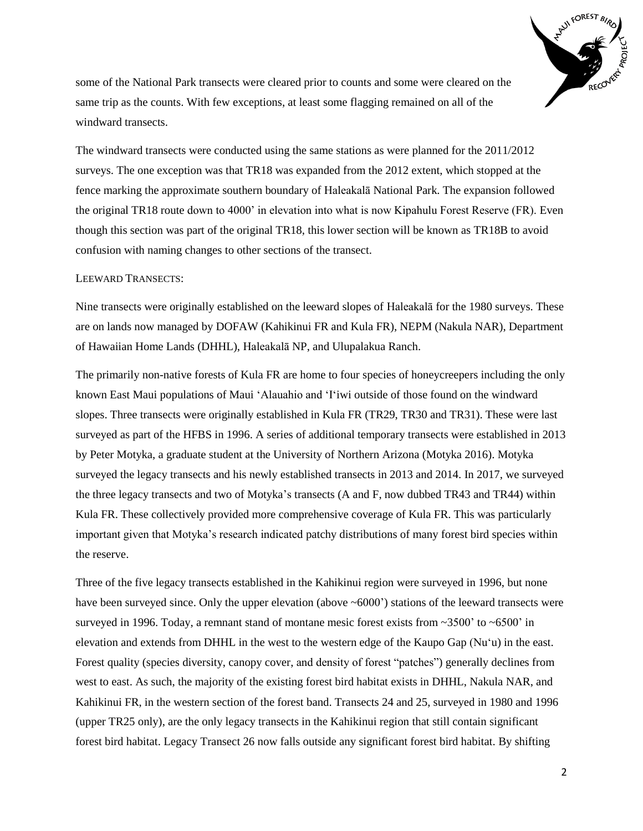

some of the National Park transects were cleared prior to counts and some were cleared on the same trip as the counts. With few exceptions, at least some flagging remained on all of the windward transects.

The windward transects were conducted using the same stations as were planned for the 2011/2012 surveys. The one exception was that TR18 was expanded from the 2012 extent, which stopped at the fence marking the approximate southern boundary of Haleakalā National Park. The expansion followed the original TR18 route down to 4000' in elevation into what is now Kipahulu Forest Reserve (FR). Even though this section was part of the original TR18, this lower section will be known as TR18B to avoid confusion with naming changes to other sections of the transect.

## LEEWARD TRANSECTS:

Nine transects were originally established on the leeward slopes of Haleakalā for the 1980 surveys. These are on lands now managed by DOFAW (Kahikinui FR and Kula FR), NEPM (Nakula NAR), Department of Hawaiian Home Lands (DHHL), Haleakalā NP, and Ulupalakua Ranch.

The primarily non-native forests of Kula FR are home to four species of honeycreepers including the only known East Maui populations of Maui 'Alauahio and 'I'iwi outside of those found on the windward slopes. Three transects were originally established in Kula FR (TR29, TR30 and TR31). These were last surveyed as part of the HFBS in 1996. A series of additional temporary transects were established in 2013 by Peter Motyka, a graduate student at the University of Northern Arizona (Motyka 2016). Motyka surveyed the legacy transects and his newly established transects in 2013 and 2014. In 2017, we surveyed the three legacy transects and two of Motyka's transects (A and F, now dubbed TR43 and TR44) within Kula FR. These collectively provided more comprehensive coverage of Kula FR. This was particularly important given that Motyka's research indicated patchy distributions of many forest bird species within the reserve.

Three of the five legacy transects established in the Kahikinui region were surveyed in 1996, but none have been surveyed since. Only the upper elevation (above  $\sim 6000$ ) stations of the leeward transects were surveyed in 1996. Today, a remnant stand of montane mesic forest exists from ~3500' to ~6500' in elevation and extends from DHHL in the west to the western edge of the Kaupo Gap (Nu'u) in the east. Forest quality (species diversity, canopy cover, and density of forest "patches") generally declines from west to east. As such, the majority of the existing forest bird habitat exists in DHHL, Nakula NAR, and Kahikinui FR, in the western section of the forest band. Transects 24 and 25, surveyed in 1980 and 1996 (upper TR25 only), are the only legacy transects in the Kahikinui region that still contain significant forest bird habitat. Legacy Transect 26 now falls outside any significant forest bird habitat. By shifting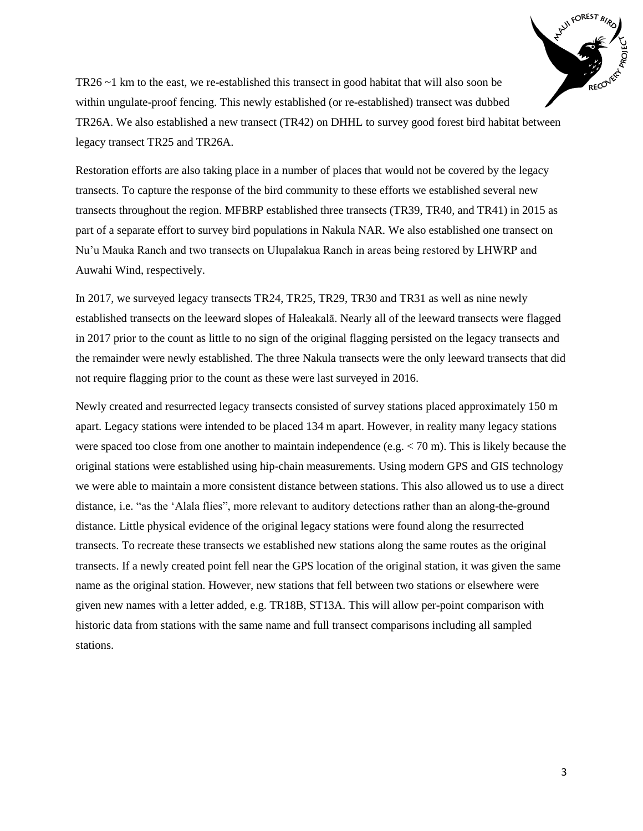

TR26 ~1 km to the east, we re-established this transect in good habitat that will also soon be within ungulate-proof fencing. This newly established (or re-established) transect was dubbed TR26A. We also established a new transect (TR42) on DHHL to survey good forest bird habitat between legacy transect TR25 and TR26A.

Restoration efforts are also taking place in a number of places that would not be covered by the legacy transects. To capture the response of the bird community to these efforts we established several new transects throughout the region. MFBRP established three transects (TR39, TR40, and TR41) in 2015 as part of a separate effort to survey bird populations in Nakula NAR. We also established one transect on Nu'u Mauka Ranch and two transects on Ulupalakua Ranch in areas being restored by LHWRP and Auwahi Wind, respectively.

In 2017, we surveyed legacy transects TR24, TR25, TR29, TR30 and TR31 as well as nine newly established transects on the leeward slopes of Haleakalā. Nearly all of the leeward transects were flagged in 2017 prior to the count as little to no sign of the original flagging persisted on the legacy transects and the remainder were newly established. The three Nakula transects were the only leeward transects that did not require flagging prior to the count as these were last surveyed in 2016.

Newly created and resurrected legacy transects consisted of survey stations placed approximately 150 m apart. Legacy stations were intended to be placed 134 m apart. However, in reality many legacy stations were spaced too close from one another to maintain independence (e.g.  $<$  70 m). This is likely because the original stations were established using hip-chain measurements. Using modern GPS and GIS technology we were able to maintain a more consistent distance between stations. This also allowed us to use a direct distance, i.e. "as the 'Alala flies", more relevant to auditory detections rather than an along-the-ground distance. Little physical evidence of the original legacy stations were found along the resurrected transects. To recreate these transects we established new stations along the same routes as the original transects. If a newly created point fell near the GPS location of the original station, it was given the same name as the original station. However, new stations that fell between two stations or elsewhere were given new names with a letter added, e.g. TR18B, ST13A. This will allow per-point comparison with historic data from stations with the same name and full transect comparisons including all sampled stations.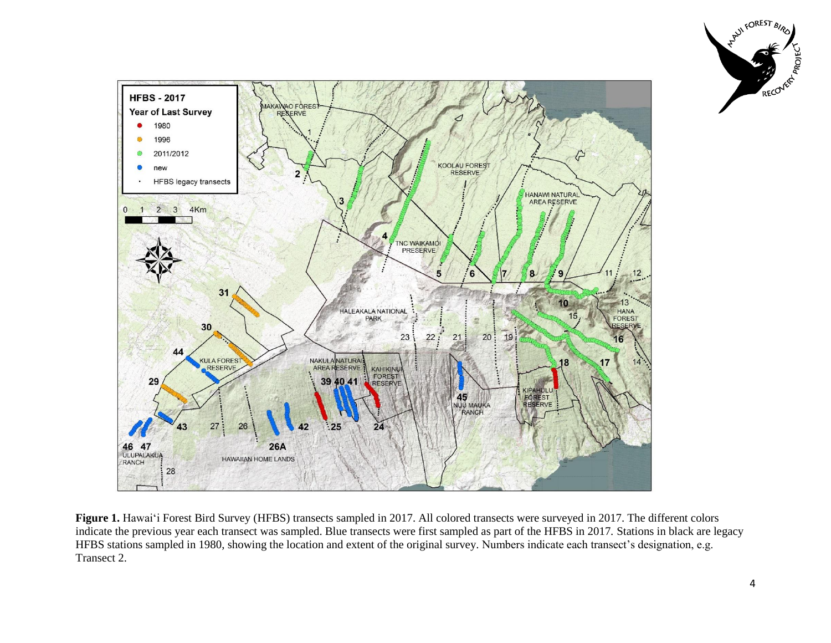



**Figure 1.** Hawai'i Forest Bird Survey (HFBS) transects sampled in 2017. All colored transects were surveyed in 2017. The different colors indicate the previous year each transect was sampled. Blue transects were first sampled as part of the HFBS in 2017. Stations in black are legacy HFBS stations sampled in 1980, showing the location and extent of the original survey. Numbers indicate each transect's designation, e.g. Transect 2.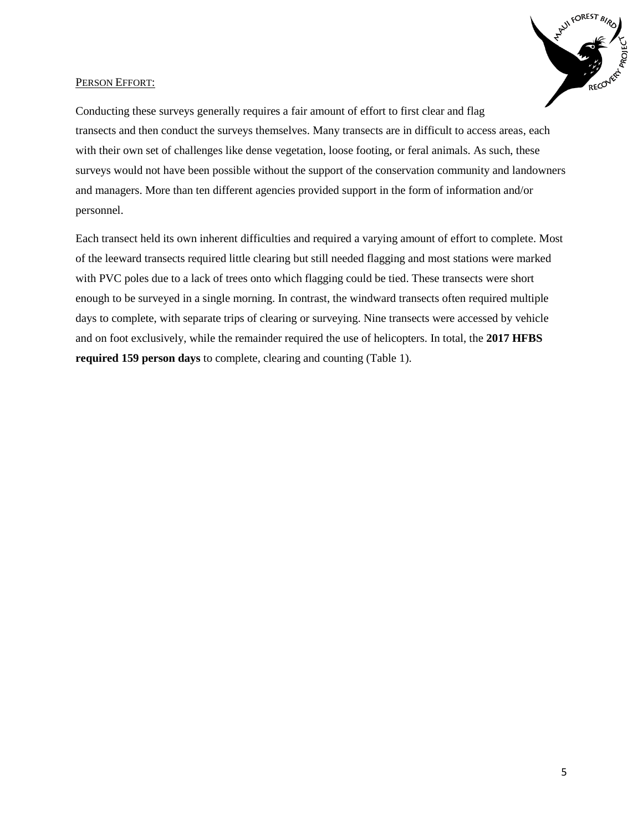

## PERSON EFFORT:

Conducting these surveys generally requires a fair amount of effort to first clear and flag transects and then conduct the surveys themselves. Many transects are in difficult to access areas, each with their own set of challenges like dense vegetation, loose footing, or feral animals. As such, these surveys would not have been possible without the support of the conservation community and landowners and managers. More than ten different agencies provided support in the form of information and/or personnel.

Each transect held its own inherent difficulties and required a varying amount of effort to complete. Most of the leeward transects required little clearing but still needed flagging and most stations were marked with PVC poles due to a lack of trees onto which flagging could be tied. These transects were short enough to be surveyed in a single morning. In contrast, the windward transects often required multiple days to complete, with separate trips of clearing or surveying. Nine transects were accessed by vehicle and on foot exclusively, while the remainder required the use of helicopters. In total, the **2017 HFBS required 159 person days** to complete, clearing and counting (Table 1).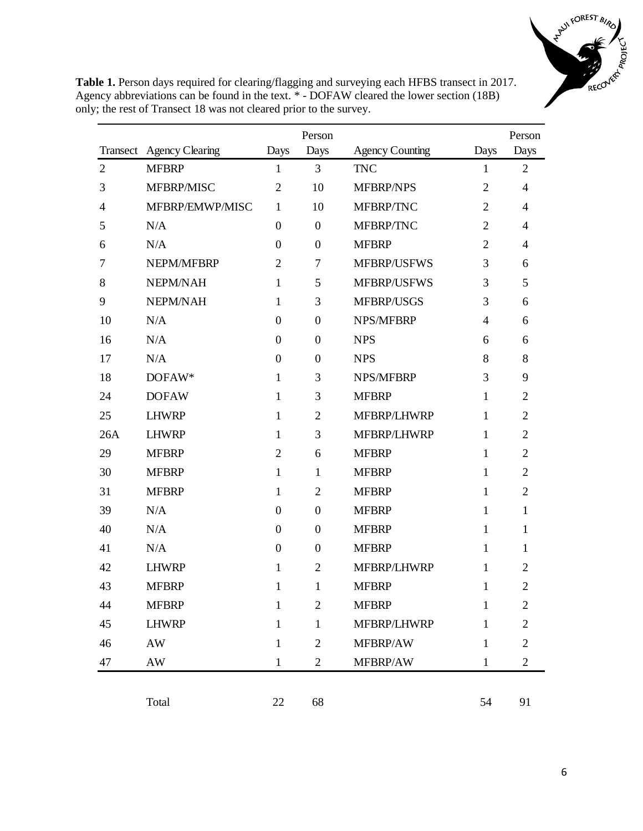

**Table 1.** Person days required for clearing/flagging and surveying each HFBS transect in 2017. Agency abbreviations can be found in the text. \* - DOFAW cleared the lower section (18B) only; the rest of Transect 18 was not cleared prior to the survey.

|                |                          |                  | Person           |                        |                | Person         |
|----------------|--------------------------|------------------|------------------|------------------------|----------------|----------------|
|                | Transect Agency Clearing | Days             | Days             | <b>Agency Counting</b> | Days           | Days           |
| $\overline{2}$ | <b>MFBRP</b>             | $\mathbf{1}$     | 3                | <b>TNC</b>             | $\mathbf{1}$   | $\overline{2}$ |
| 3              | MFBRP/MISC               | $\overline{2}$   | 10               | <b>MFBRP/NPS</b>       | $\overline{2}$ | $\overline{4}$ |
| 4              | MFBRP/EMWP/MISC          | $\mathbf{1}$     | 10               | MFBRP/TNC              | $\overline{2}$ | $\overline{4}$ |
| 5              | N/A                      | $\boldsymbol{0}$ | $\overline{0}$   | MFBRP/TNC              | $\overline{2}$ | $\overline{4}$ |
| 6              | N/A                      | $\overline{0}$   | $\mathbf{0}$     | <b>MFBRP</b>           | $\overline{2}$ | $\overline{4}$ |
| 7              | NEPM/MFBRP               | $\overline{2}$   | 7                | <b>MFBRP/USFWS</b>     | 3              | 6              |
| 8              | NEPM/NAH                 | $\mathbf{1}$     | 5                | MFBRP/USFWS            | 3              | 5              |
| 9              | NEPM/NAH                 | 1                | 3                | MFBRP/USGS             | 3              | 6              |
| 10             | N/A                      | $\boldsymbol{0}$ | $\overline{0}$   | <b>NPS/MFBRP</b>       | 4              | 6              |
| 16             | N/A                      | $\boldsymbol{0}$ | $\boldsymbol{0}$ | <b>NPS</b>             | 6              | 6              |
| 17             | N/A                      | $\boldsymbol{0}$ | $\boldsymbol{0}$ | <b>NPS</b>             | 8              | 8              |
| 18             | DOFAW*                   | $\mathbf{1}$     | 3                | <b>NPS/MFBRP</b>       | 3              | 9              |
| 24             | <b>DOFAW</b>             | $\mathbf{1}$     | 3                | <b>MFBRP</b>           | 1              | $\overline{2}$ |
| 25             | <b>LHWRP</b>             | $\mathbf{1}$     | $\overline{2}$   | MFBRP/LHWRP            | 1              | $\overline{2}$ |
| 26A            | <b>LHWRP</b>             | $\mathbf{1}$     | 3                | MFBRP/LHWRP            | 1              | $\overline{2}$ |
| 29             | <b>MFBRP</b>             | $\overline{2}$   | 6                | <b>MFBRP</b>           | 1              | $\overline{2}$ |
| 30             | <b>MFBRP</b>             | 1                | 1                | <b>MFBRP</b>           | $\mathbf{1}$   | $\overline{2}$ |
| 31             | <b>MFBRP</b>             | 1                | $\overline{2}$   | <b>MFBRP</b>           | $\mathbf{1}$   | $\overline{2}$ |
| 39             | N/A                      | $\boldsymbol{0}$ | $\overline{0}$   | <b>MFBRP</b>           | $\mathbf{1}$   | 1              |
| 40             | N/A                      | $\boldsymbol{0}$ | $\mathbf{0}$     | <b>MFBRP</b>           | $\mathbf{1}$   | 1              |
| 41             | N/A                      | $\boldsymbol{0}$ | $\theta$         | <b>MFBRP</b>           | 1              | 1              |
| 42             | <b>LHWRP</b>             | 1                | $\overline{2}$   | MFBRP/LHWRP            | 1              | $\overline{2}$ |
| 43             | <b>MFBRP</b>             | $\mathbf{1}$     | 1                | <b>MFBRP</b>           | 1              | $\overline{2}$ |
| 44             | <b>MFBRP</b>             | 1                | $\overline{2}$   | <b>MFBRP</b>           | 1              | $\overline{2}$ |
| 45             | <b>LHWRP</b>             | $\mathbf{1}$     | $\mathbf{1}$     | MFBRP/LHWRP            | $\mathbf{1}$   | $\overline{2}$ |
| 46             | $\mathbf{A}\mathbf{W}$   | $\mathbf{1}$     | $\overline{2}$   | MFBRP/AW               | 1              | $\overline{2}$ |
| 47             | AW                       | $\mathbf{1}$     | $\overline{2}$   | MFBRP/AW               | $\mathbf{1}$   | $\overline{2}$ |
|                |                          |                  |                  |                        |                |                |

Total 22 68 54 91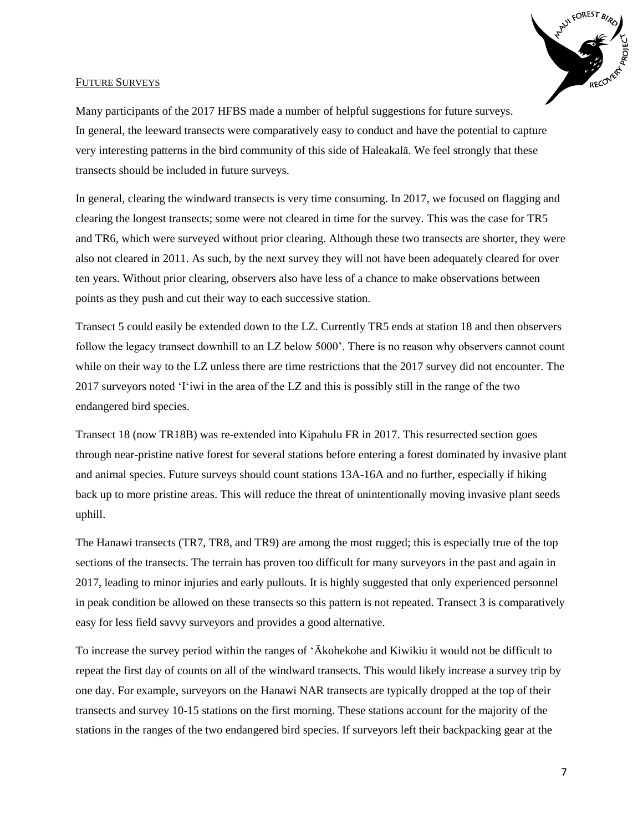

## FUTURE SURVEYS

Many participants of the 2017 HFBS made a number of helpful suggestions for future surveys. In general, the leeward transects were comparatively easy to conduct and have the potential to capture very interesting patterns in the bird community of this side of Haleakalā. We feel strongly that these transects should be included in future surveys.

In general, clearing the windward transects is very time consuming. In 2017, we focused on flagging and clearing the longest transects; some were not cleared in time for the survey. This was the case for TR5 and TR6, which were surveyed without prior clearing. Although these two transects are shorter, they were also not cleared in 2011. As such, by the next survey they will not have been adequately cleared for over ten years. Without prior clearing, observers also have less of a chance to make observations between points as they push and cut their way to each successive station.

Transect 5 could easily be extended down to the LZ. Currently TR5 ends at station 18 and then observers follow the legacy transect downhill to an LZ below 5000'. There is no reason why observers cannot count while on their way to the LZ unless there are time restrictions that the 2017 survey did not encounter. The 2017 surveyors noted 'I'iwi in the area of the LZ and this is possibly still in the range of the two endangered bird species.

Transect 18 (now TR18B) was re-extended into Kipahulu FR in 2017. This resurrected section goes through near-pristine native forest for several stations before entering a forest dominated by invasive plant and animal species. Future surveys should count stations 13A-16A and no further, especially if hiking back up to more pristine areas. This will reduce the threat of unintentionally moving invasive plant seeds uphill.

The Hanawi transects (TR7, TR8, and TR9) are among the most rugged; this is especially true of the top sections of the transects. The terrain has proven too difficult for many surveyors in the past and again in 2017, leading to minor injuries and early pullouts. It is highly suggested that only experienced personnel in peak condition be allowed on these transects so this pattern is not repeated. Transect 3 is comparatively easy for less field savvy surveyors and provides a good alternative.

To increase the survey period within the ranges of 'Ākohekohe and Kiwikiu it would not be difficult to repeat the first day of counts on all of the windward transects. This would likely increase a survey trip by one day. For example, surveyors on the Hanawi NAR transects are typically dropped at the top of their transects and survey 10-15 stations on the first morning. These stations account for the majority of the stations in the ranges of the two endangered bird species. If surveyors left their backpacking gear at the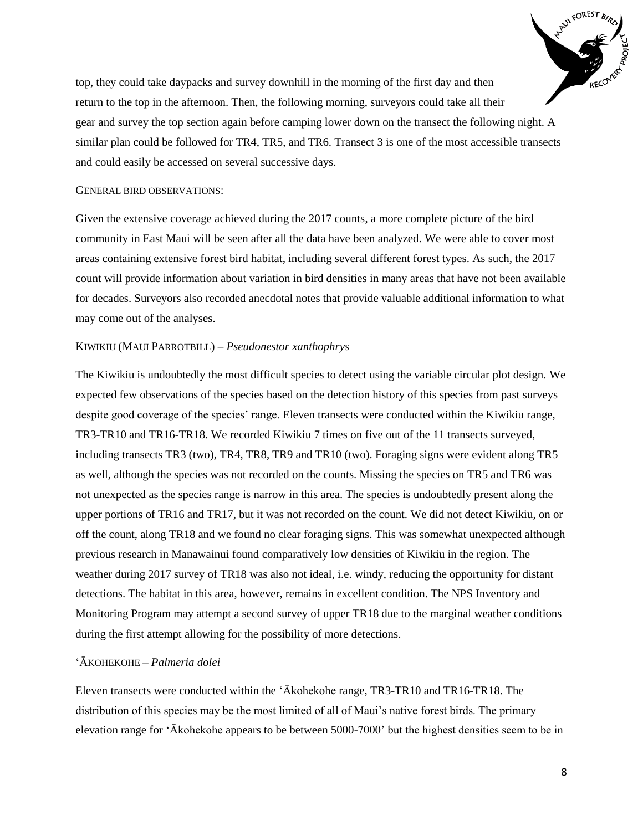

top, they could take daypacks and survey downhill in the morning of the first day and then return to the top in the afternoon. Then, the following morning, surveyors could take all their gear and survey the top section again before camping lower down on the transect the following night. A similar plan could be followed for TR4, TR5, and TR6. Transect 3 is one of the most accessible transects and could easily be accessed on several successive days.

## GENERAL BIRD OBSERVATIONS:

Given the extensive coverage achieved during the 2017 counts, a more complete picture of the bird community in East Maui will be seen after all the data have been analyzed. We were able to cover most areas containing extensive forest bird habitat, including several different forest types. As such, the 2017 count will provide information about variation in bird densities in many areas that have not been available for decades. Surveyors also recorded anecdotal notes that provide valuable additional information to what may come out of the analyses.

## KIWIKIU (MAUI PARROTBILL) – *Pseudonestor xanthophrys*

The Kiwikiu is undoubtedly the most difficult species to detect using the variable circular plot design. We expected few observations of the species based on the detection history of this species from past surveys despite good coverage of the species' range. Eleven transects were conducted within the Kiwikiu range, TR3-TR10 and TR16-TR18. We recorded Kiwikiu 7 times on five out of the 11 transects surveyed, including transects TR3 (two), TR4, TR8, TR9 and TR10 (two). Foraging signs were evident along TR5 as well, although the species was not recorded on the counts. Missing the species on TR5 and TR6 was not unexpected as the species range is narrow in this area. The species is undoubtedly present along the upper portions of TR16 and TR17, but it was not recorded on the count. We did not detect Kiwikiu, on or off the count, along TR18 and we found no clear foraging signs. This was somewhat unexpected although previous research in Manawainui found comparatively low densities of Kiwikiu in the region. The weather during 2017 survey of TR18 was also not ideal, i.e. windy, reducing the opportunity for distant detections. The habitat in this area, however, remains in excellent condition. The NPS Inventory and Monitoring Program may attempt a second survey of upper TR18 due to the marginal weather conditions during the first attempt allowing for the possibility of more detections.

#### 'ĀKOHEKOHE – *Palmeria dolei*

Eleven transects were conducted within the 'Ākohekohe range, TR3-TR10 and TR16-TR18. The distribution of this species may be the most limited of all of Maui's native forest birds. The primary elevation range for 'Ākohekohe appears to be between 5000-7000' but the highest densities seem to be in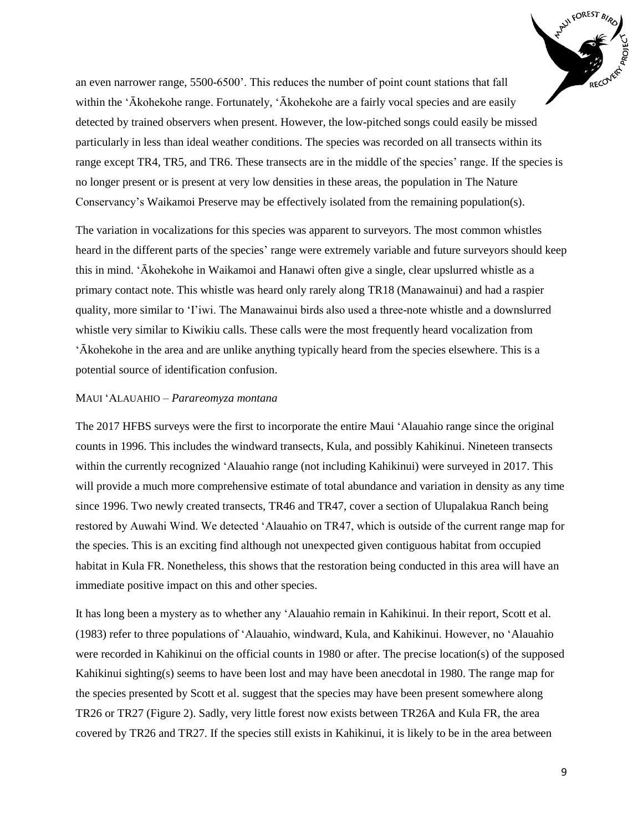

an even narrower range, 5500-6500'. This reduces the number of point count stations that fall within the 'Ākohekohe range. Fortunately, 'Ākohekohe are a fairly vocal species and are easily detected by trained observers when present. However, the low-pitched songs could easily be missed particularly in less than ideal weather conditions. The species was recorded on all transects within its range except TR4, TR5, and TR6. These transects are in the middle of the species' range. If the species is no longer present or is present at very low densities in these areas, the population in The Nature Conservancy's Waikamoi Preserve may be effectively isolated from the remaining population(s).

The variation in vocalizations for this species was apparent to surveyors. The most common whistles heard in the different parts of the species' range were extremely variable and future surveyors should keep this in mind. 'Ākohekohe in Waikamoi and Hanawi often give a single, clear upslurred whistle as a primary contact note. This whistle was heard only rarely along TR18 (Manawainui) and had a raspier quality, more similar to 'I'iwi. The Manawainui birds also used a three-note whistle and a downslurred whistle very similar to Kiwikiu calls. These calls were the most frequently heard vocalization from 'Ākohekohe in the area and are unlike anything typically heard from the species elsewhere. This is a potential source of identification confusion.

#### MAUI 'ALAUAHIO – *Parareomyza montana*

The 2017 HFBS surveys were the first to incorporate the entire Maui 'Alauahio range since the original counts in 1996. This includes the windward transects, Kula, and possibly Kahikinui. Nineteen transects within the currently recognized 'Alauahio range (not including Kahikinui) were surveyed in 2017. This will provide a much more comprehensive estimate of total abundance and variation in density as any time since 1996. Two newly created transects, TR46 and TR47, cover a section of Ulupalakua Ranch being restored by Auwahi Wind. We detected 'Alauahio on TR47, which is outside of the current range map for the species. This is an exciting find although not unexpected given contiguous habitat from occupied habitat in Kula FR. Nonetheless, this shows that the restoration being conducted in this area will have an immediate positive impact on this and other species.

It has long been a mystery as to whether any 'Alauahio remain in Kahikinui. In their report, Scott et al. (1983) refer to three populations of 'Alauahio, windward, Kula, and Kahikinui. However, no 'Alauahio were recorded in Kahikinui on the official counts in 1980 or after. The precise location(s) of the supposed Kahikinui sighting(s) seems to have been lost and may have been anecdotal in 1980. The range map for the species presented by Scott et al. suggest that the species may have been present somewhere along TR26 or TR27 (Figure 2). Sadly, very little forest now exists between TR26A and Kula FR, the area covered by TR26 and TR27. If the species still exists in Kahikinui, it is likely to be in the area between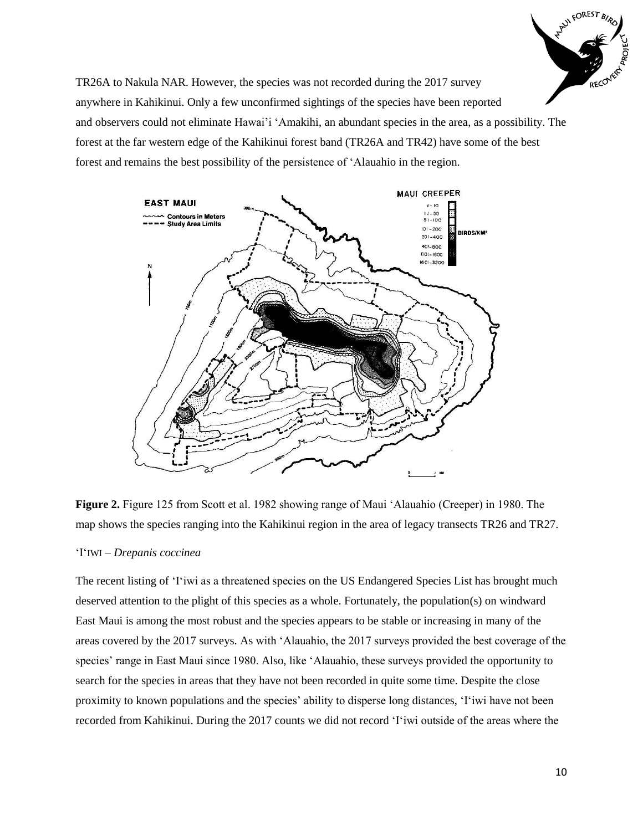

TR26A to Nakula NAR. However, the species was not recorded during the 2017 survey anywhere in Kahikinui. Only a few unconfirmed sightings of the species have been reported and observers could not eliminate Hawai'i 'Amakihi, an abundant species in the area, as a possibility. The forest at the far western edge of the Kahikinui forest band (TR26A and TR42) have some of the best forest and remains the best possibility of the persistence of 'Alauahio in the region.



**Figure 2.** Figure 125 from Scott et al. 1982 showing range of Maui 'Alauahio (Creeper) in 1980. The map shows the species ranging into the Kahikinui region in the area of legacy transects TR26 and TR27.

## 'I'IWI – *Drepanis coccinea*

The recent listing of 'I'iwi as a threatened species on the US Endangered Species List has brought much deserved attention to the plight of this species as a whole. Fortunately, the population(s) on windward East Maui is among the most robust and the species appears to be stable or increasing in many of the areas covered by the 2017 surveys. As with 'Alauahio, the 2017 surveys provided the best coverage of the species' range in East Maui since 1980. Also, like 'Alauahio, these surveys provided the opportunity to search for the species in areas that they have not been recorded in quite some time. Despite the close proximity to known populations and the species' ability to disperse long distances, 'I'iwi have not been recorded from Kahikinui. During the 2017 counts we did not record 'I'iwi outside of the areas where the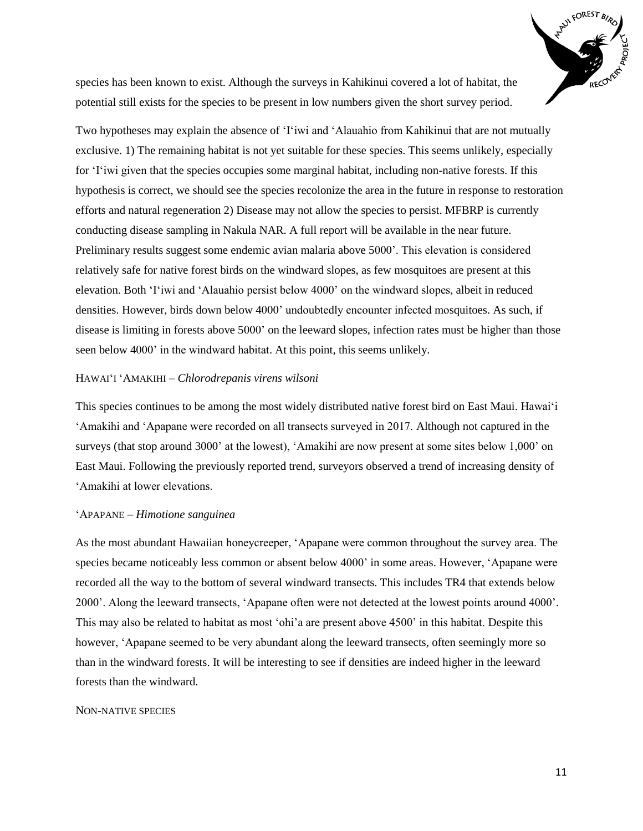

species has been known to exist. Although the surveys in Kahikinui covered a lot of habitat, the potential still exists for the species to be present in low numbers given the short survey period.

Two hypotheses may explain the absence of 'I'iwi and 'Alauahio from Kahikinui that are not mutually exclusive. 1) The remaining habitat is not yet suitable for these species. This seems unlikely, especially for 'I'iwi given that the species occupies some marginal habitat, including non-native forests. If this hypothesis is correct, we should see the species recolonize the area in the future in response to restoration efforts and natural regeneration 2) Disease may not allow the species to persist. MFBRP is currently conducting disease sampling in Nakula NAR. A full report will be available in the near future. Preliminary results suggest some endemic avian malaria above 5000'. This elevation is considered relatively safe for native forest birds on the windward slopes, as few mosquitoes are present at this elevation. Both 'I'iwi and 'Alauahio persist below 4000' on the windward slopes, albeit in reduced densities. However, birds down below 4000' undoubtedly encounter infected mosquitoes. As such, if disease is limiting in forests above 5000' on the leeward slopes, infection rates must be higher than those seen below 4000' in the windward habitat. At this point, this seems unlikely.

## HAWAI'I 'AMAKIHI – *Chlorodrepanis virens wilsoni*

This species continues to be among the most widely distributed native forest bird on East Maui. Hawai'i 'Amakihi and 'Apapane were recorded on all transects surveyed in 2017. Although not captured in the surveys (that stop around 3000' at the lowest), 'Amakihi are now present at some sites below 1,000' on East Maui. Following the previously reported trend, surveyors observed a trend of increasing density of 'Amakihi at lower elevations.

#### 'APAPANE – *Himotione sanguinea*

As the most abundant Hawaiian honeycreeper, 'Apapane were common throughout the survey area. The species became noticeably less common or absent below 4000' in some areas. However, 'Apapane were recorded all the way to the bottom of several windward transects. This includes TR4 that extends below 2000'. Along the leeward transects, 'Apapane often were not detected at the lowest points around 4000'. This may also be related to habitat as most 'ohi'a are present above 4500' in this habitat. Despite this however, 'Apapane seemed to be very abundant along the leeward transects, often seemingly more so than in the windward forests. It will be interesting to see if densities are indeed higher in the leeward forests than the windward.

## NON-NATIVE SPECIES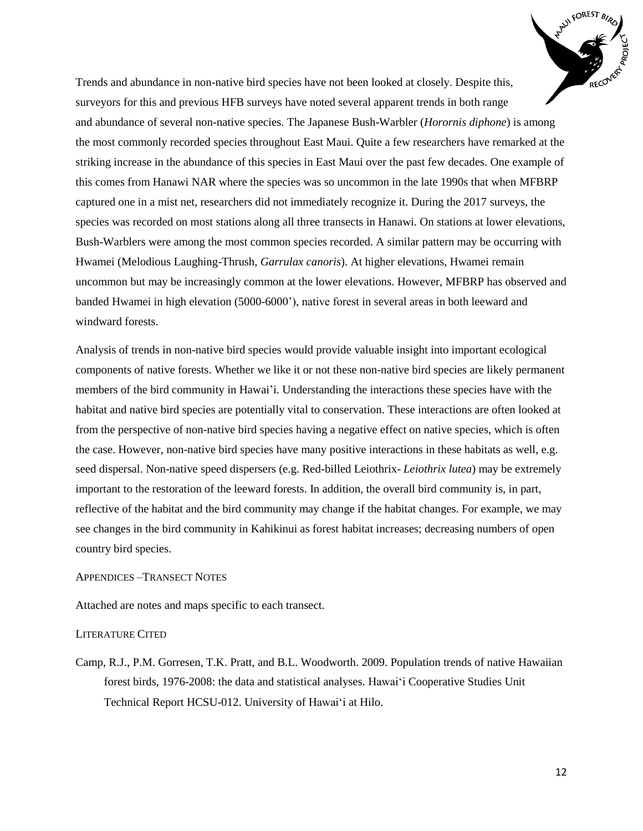

Trends and abundance in non-native bird species have not been looked at closely. Despite this, surveyors for this and previous HFB surveys have noted several apparent trends in both range and abundance of several non-native species. The Japanese Bush-Warbler (*Horornis diphone*) is among the most commonly recorded species throughout East Maui. Quite a few researchers have remarked at the striking increase in the abundance of this species in East Maui over the past few decades. One example of this comes from Hanawi NAR where the species was so uncommon in the late 1990s that when MFBRP captured one in a mist net, researchers did not immediately recognize it. During the 2017 surveys, the species was recorded on most stations along all three transects in Hanawi. On stations at lower elevations, Bush-Warblers were among the most common species recorded. A similar pattern may be occurring with Hwamei (Melodious Laughing-Thrush, *Garrulax canoris*). At higher elevations, Hwamei remain uncommon but may be increasingly common at the lower elevations. However, MFBRP has observed and banded Hwamei in high elevation (5000-6000'), native forest in several areas in both leeward and windward forests.

Analysis of trends in non-native bird species would provide valuable insight into important ecological components of native forests. Whether we like it or not these non-native bird species are likely permanent members of the bird community in Hawai'i. Understanding the interactions these species have with the habitat and native bird species are potentially vital to conservation. These interactions are often looked at from the perspective of non-native bird species having a negative effect on native species, which is often the case. However, non-native bird species have many positive interactions in these habitats as well, e.g. seed dispersal. Non-native speed dispersers (e.g. Red-billed Leiothrix- *Leiothrix lutea*) may be extremely important to the restoration of the leeward forests. In addition, the overall bird community is, in part, reflective of the habitat and the bird community may change if the habitat changes. For example, we may see changes in the bird community in Kahikinui as forest habitat increases; decreasing numbers of open country bird species.

# APPENDICES –TRANSECT NOTES

Attached are notes and maps specific to each transect.

## LITERATURE CITED

Camp, R.J., P.M. Gorresen, T.K. Pratt, and B.L. Woodworth. 2009. Population trends of native Hawaiian forest birds, 1976-2008: the data and statistical analyses. Hawai'i Cooperative Studies Unit Technical Report HCSU-012. University of Hawai'i at Hilo.